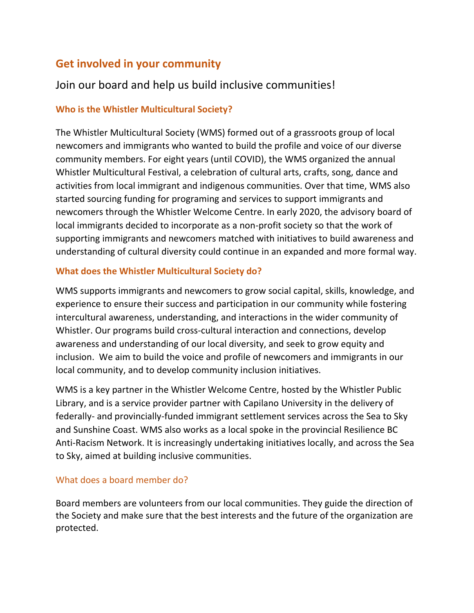# **Get involved in your community**

## Join our board and help us build inclusive communities!

## **Who is the Whistler Multicultural Society?**

The Whistler Multicultural Society (WMS) formed out of a grassroots group of local newcomers and immigrants who wanted to build the profile and voice of our diverse community members. For eight years (until COVID), the WMS organized the annual Whistler Multicultural Festival, a celebration of cultural arts, crafts, song, dance and activities from local immigrant and indigenous communities. Over that time, WMS also started sourcing funding for programing and services to support immigrants and newcomers through the Whistler Welcome Centre. In early 2020, the advisory board of local immigrants decided to incorporate as a non-profit society so that the work of supporting immigrants and newcomers matched with initiatives to build awareness and understanding of cultural diversity could continue in an expanded and more formal way.

### **What does the Whistler Multicultural Society do?**

WMS supports immigrants and newcomers to grow social capital, skills, knowledge, and experience to ensure their success and participation in our community while fostering intercultural awareness, understanding, and interactions in the wider community of Whistler. Our programs build cross-cultural interaction and connections, develop awareness and understanding of our local diversity, and seek to grow equity and inclusion. We aim to build the voice and profile of newcomers and immigrants in our local community, and to develop community inclusion initiatives.

WMS is a key partner in the Whistler Welcome Centre, hosted by the Whistler Public Library, and is a service provider partner with Capilano University in the delivery of federally- and provincially-funded immigrant settlement services across the Sea to Sky and Sunshine Coast. WMS also works as a local spoke in the provincial Resilience BC Anti-Racism Network. It is increasingly undertaking initiatives locally, and across the Sea to Sky, aimed at building inclusive communities.

### What does a board member do?

Board members are volunteers from our local communities. They guide the direction of the Society and make sure that the best interests and the future of the organization are protected.